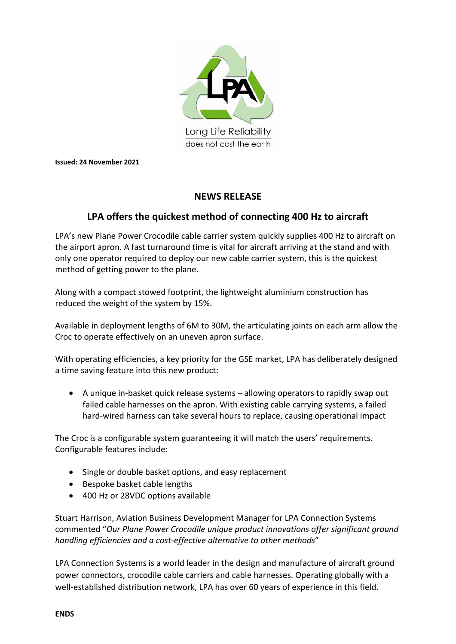

**Issued: 24 November 2021**

## **NEWS RELEASE**

## **LPA offers the quickest method of connecting 400 Hz to aircraft**

LPA's new Plane Power Crocodile cable carrier system quickly supplies 400 Hz to aircraft on the airport apron. A fast turnaround time is vital for aircraft arriving at the stand and with only one operator required to deploy our new cable carrier system, this is the quickest method of getting power to the plane.

Along with a compact stowed footprint, the lightweight aluminium construction has reduced the weight of the system by 15%.

Available in deployment lengths of 6M to 30M, the articulating joints on each arm allow the Croc to operate effectively on an uneven apron surface.

With operating efficiencies, a key priority for the GSE market, LPA has deliberately designed a time saving feature into this new product:

• A unique in-basket quick release systems – allowing operators to rapidly swap out failed cable harnesses on the apron. With existing cable carrying systems, a failed hard-wired harness can take several hours to replace, causing operational impact

The Croc is a configurable system guaranteeing it will match the users' requirements. Configurable features include:

- Single or double basket options, and easy replacement
- Bespoke basket cable lengths
- 400 Hz or 28VDC options available

Stuart Harrison, Aviation Business Development Manager for LPA Connection Systems commented "*Our Plane Power Crocodile unique product innovations offer significant ground handling efficiencies and a cost-effective alternative to other methods*"

LPA Connection Systems is a world leader in the design and manufacture of aircraft ground power connectors, crocodile cable carriers and cable harnesses. Operating globally with a well-established distribution network, LPA has over 60 years of experience in this field.